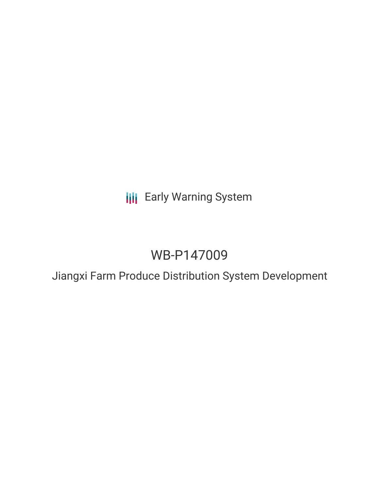# **III** Early Warning System

# WB-P147009

Jiangxi Farm Produce Distribution System Development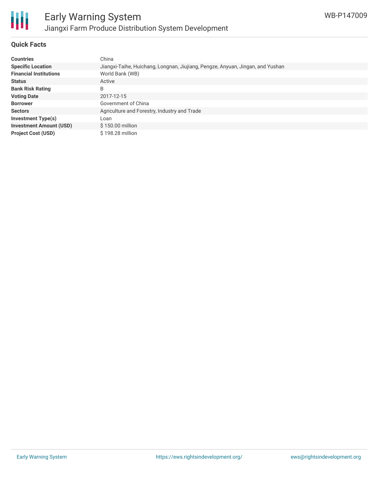

#### **Quick Facts**

| <b>Countries</b>               | China                                                                          |
|--------------------------------|--------------------------------------------------------------------------------|
| <b>Specific Location</b>       | Jiangxi-Taihe, Huichang, Longnan, Jiujiang, Pengze, Anyuan, Jingan, and Yushan |
| <b>Financial Institutions</b>  | World Bank (WB)                                                                |
| <b>Status</b>                  | Active                                                                         |
| <b>Bank Risk Rating</b>        | B                                                                              |
| <b>Voting Date</b>             | 2017-12-15                                                                     |
| <b>Borrower</b>                | Government of China                                                            |
| <b>Sectors</b>                 | Agriculture and Forestry, Industry and Trade                                   |
| <b>Investment Type(s)</b>      | Loan                                                                           |
| <b>Investment Amount (USD)</b> | \$150.00 million                                                               |
| <b>Project Cost (USD)</b>      | \$198.28 million                                                               |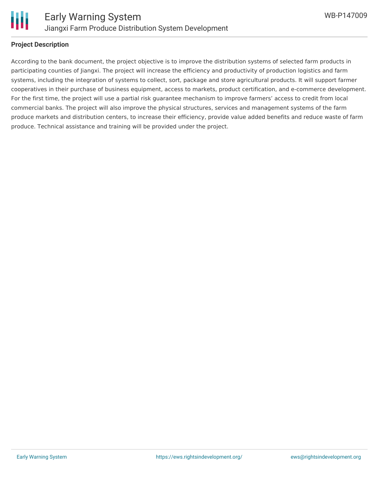

#### **Project Description**

According to the bank document, the project objective is to improve the distribution systems of selected farm products in participating counties of Jiangxi. The project will increase the efficiency and productivity of production logistics and farm systems, including the integration of systems to collect, sort, package and store agricultural products. It will support farmer cooperatives in their purchase of business equipment, access to markets, product certification, and e-commerce development. For the first time, the project will use a partial risk guarantee mechanism to improve farmers' access to credit from local commercial banks. The project will also improve the physical structures, services and management systems of the farm produce markets and distribution centers, to increase their efficiency, provide value added benefits and reduce waste of farm produce. Technical assistance and training will be provided under the project.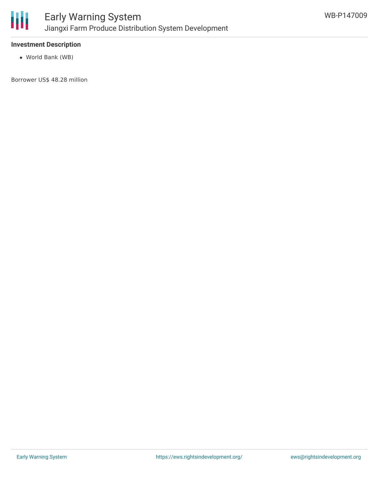

### **Investment Description**

World Bank (WB)

Borrower US\$ 48.28 million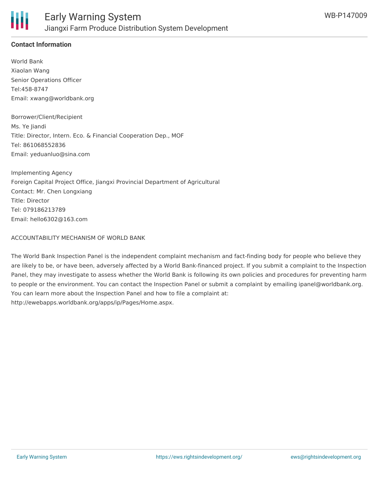

### **Contact Information**

World Bank Xiaolan Wang Senior Operations Officer Tel:458-8747 Email: xwang@worldbank.org

Borrower/Client/Recipient Ms. Ye Jiandi Title: Director, Intern. Eco. & Financial Cooperation Dep., MOF Tel: 861068552836 Email: yeduanluo@sina.com

Implementing Agency Foreign Capital Project Office, Jiangxi Provincial Department of Agricultural Contact: Mr. Chen Longxiang Title: Director Tel: 079186213789 Email: hello6302@163.com

#### ACCOUNTABILITY MECHANISM OF WORLD BANK

The World Bank Inspection Panel is the independent complaint mechanism and fact-finding body for people who believe they are likely to be, or have been, adversely affected by a World Bank-financed project. If you submit a complaint to the Inspection Panel, they may investigate to assess whether the World Bank is following its own policies and procedures for preventing harm to people or the environment. You can contact the Inspection Panel or submit a complaint by emailing ipanel@worldbank.org. You can learn more about the Inspection Panel and how to file a complaint at: http://ewebapps.worldbank.org/apps/ip/Pages/Home.aspx.